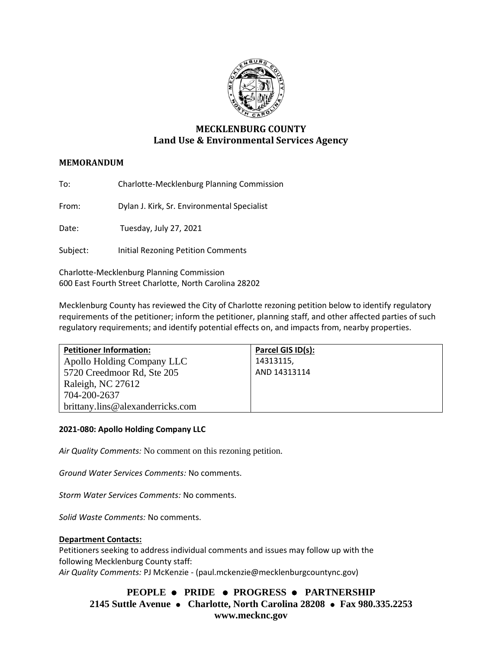

# **MECKLENBURG COUNTY Land Use & Environmental Services Agency**

## **MEMORANDUM**

To: Charlotte-Mecklenburg Planning Commission

From: Dylan J. Kirk, Sr. Environmental Specialist

Date: Tuesday, July 27, 2021

Subject: Initial Rezoning Petition Comments

Charlotte-Mecklenburg Planning Commission 600 East Fourth Street Charlotte, North Carolina 28202

Mecklenburg County has reviewed the City of Charlotte rezoning petition below to identify regulatory requirements of the petitioner; inform the petitioner, planning staff, and other affected parties of such regulatory requirements; and identify potential effects on, and impacts from, nearby properties.

| <b>Petitioner Information:</b>   | Parcel GIS ID(s): |
|----------------------------------|-------------------|
| Apollo Holding Company LLC       | 14313115,         |
| 5720 Creedmoor Rd, Ste 205       | AND 14313114      |
| Raleigh, NC 27612                |                   |
| 704-200-2637                     |                   |
| brittany.lins@alexanderricks.com |                   |

#### **2021-080: Apollo Holding Company LLC**

*Air Quality Comments:* No comment on this rezoning petition.

*Ground Water Services Comments:* No comments.

*Storm Water Services Comments:* No comments.

*Solid Waste Comments:* No comments.

#### **Department Contacts:**

Petitioners seeking to address individual comments and issues may follow up with the following Mecklenburg County staff: *Air Quality Comments:* PJ McKenzie - (paul.mckenzie@mecklenburgcountync.gov)

**PEOPLE** ⚫ **PRIDE** ⚫ **PROGRESS** ⚫ **PARTNERSHIP 2145 Suttle Avenue** ⚫ **Charlotte, North Carolina 28208** ⚫ **Fax 980.335.2253 www.mecknc.gov**